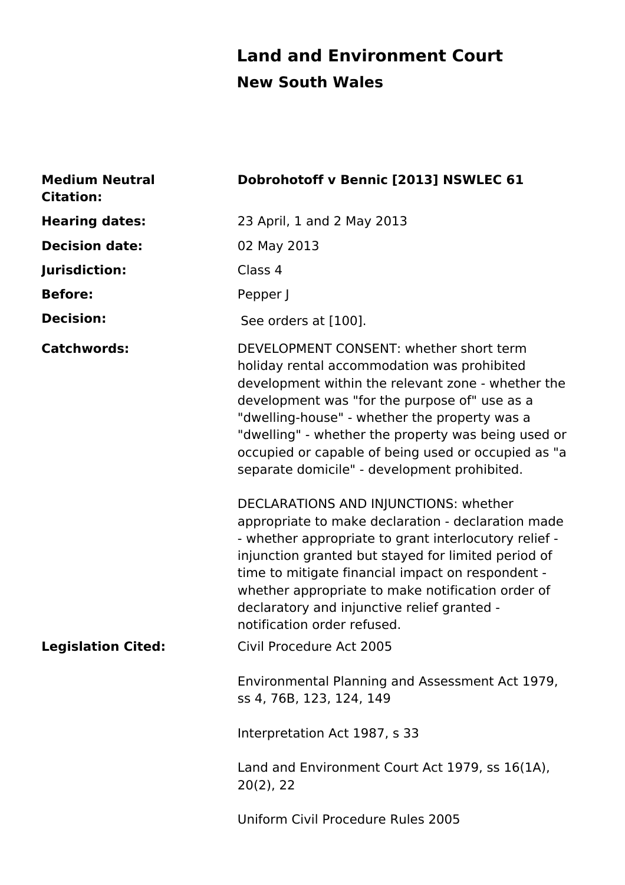## **Land and Environment Court New South Wales**

| <b>Medium Neutral</b><br><b>Citation:</b> | Dobrohotoff v Bennic [2013] NSWLEC 61                                                                                                                                                                                                                                                                                                                                                                        |
|-------------------------------------------|--------------------------------------------------------------------------------------------------------------------------------------------------------------------------------------------------------------------------------------------------------------------------------------------------------------------------------------------------------------------------------------------------------------|
| <b>Hearing dates:</b>                     | 23 April, 1 and 2 May 2013                                                                                                                                                                                                                                                                                                                                                                                   |
| <b>Decision date:</b>                     | 02 May 2013                                                                                                                                                                                                                                                                                                                                                                                                  |
| Jurisdiction:                             | Class 4                                                                                                                                                                                                                                                                                                                                                                                                      |
| <b>Before:</b>                            | Pepper J                                                                                                                                                                                                                                                                                                                                                                                                     |
| <b>Decision:</b>                          | See orders at [100].                                                                                                                                                                                                                                                                                                                                                                                         |
| <b>Catchwords:</b>                        | DEVELOPMENT CONSENT: whether short term<br>holiday rental accommodation was prohibited<br>development within the relevant zone - whether the<br>development was "for the purpose of" use as a<br>"dwelling-house" - whether the property was a<br>"dwelling" - whether the property was being used or<br>occupied or capable of being used or occupied as "a<br>separate domicile" - development prohibited. |
|                                           | DECLARATIONS AND INJUNCTIONS: whether<br>appropriate to make declaration - declaration made<br>- whether appropriate to grant interlocutory relief -<br>injunction granted but stayed for limited period of<br>time to mitigate financial impact on respondent -<br>whether appropriate to make notification order of<br>declaratory and injunctive relief granted -<br>notification order refused.          |
| <b>Legislation Cited:</b>                 | Civil Procedure Act 2005                                                                                                                                                                                                                                                                                                                                                                                     |
|                                           | Environmental Planning and Assessment Act 1979,<br>ss 4, 76B, 123, 124, 149                                                                                                                                                                                                                                                                                                                                  |
|                                           | Interpretation Act 1987, s 33                                                                                                                                                                                                                                                                                                                                                                                |
|                                           | Land and Environment Court Act 1979, ss 16(1A),<br>$20(2)$ , 22                                                                                                                                                                                                                                                                                                                                              |
|                                           | Uniform Civil Procedure Rules 2005                                                                                                                                                                                                                                                                                                                                                                           |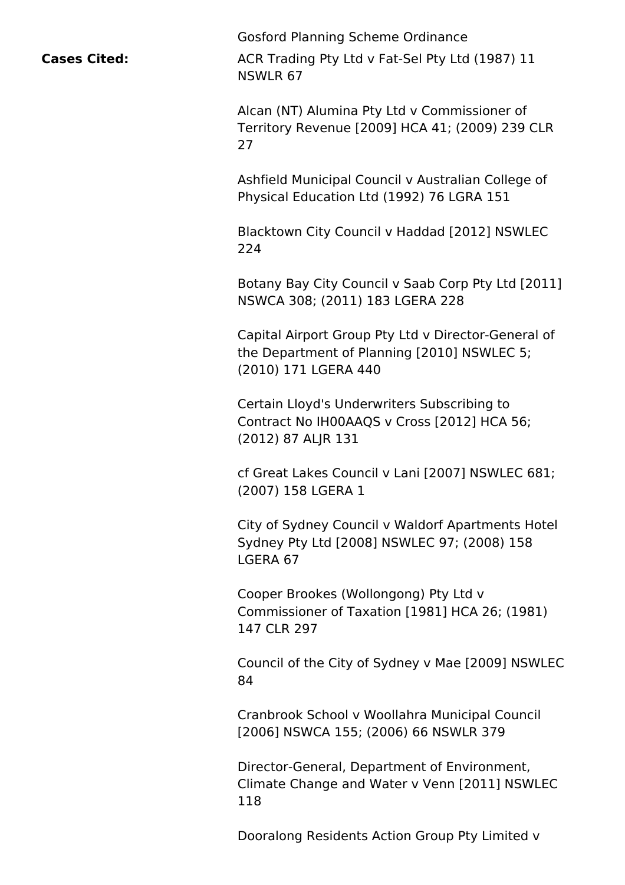**Cases Cited:**

Gosford Planning Scheme Ordinance

ACR Trading Pty Ltd v Fat-Sel Pty Ltd (1987) 11 NSWLR 67

Alcan (NT) Alumina Pty Ltd v Commissioner of Territory Revenue [2009] HCA 41; (2009) 239 CLR 27

Ashfield Municipal Council v Australian College of Physical Education Ltd (1992) 76 LGRA 151

Blacktown City Council v Haddad [2012] NSWLEC 224

Botany Bay City Council v Saab Corp Pty Ltd [2011] NSWCA 308; (2011) 183 LGERA 228

Capital Airport Group Pty Ltd v Director-General of the Department of Planning [2010] NSWLEC 5; (2010) 171 LGERA 440

Certain Lloyd's Underwriters Subscribing to Contract No IH00AAQS v Cross [2012] HCA 56; (2012) 87 ALJR 131

cf Great Lakes Council v Lani [2007] NSWLEC 681; (2007) 158 LGERA 1

City of Sydney Council v Waldorf Apartments Hotel Sydney Pty Ltd [2008] NSWLEC 97; (2008) 158 LGERA 67

Cooper Brookes (Wollongong) Pty Ltd v Commissioner of Taxation [1981] HCA 26; (1981) 147 CLR 297

Council of the City of Sydney v Mae [2009] NSWLEC 84

Cranbrook School v Woollahra Municipal Council [2006] NSWCA 155; (2006) 66 NSWLR 379

Director-General, Department of Environment, Climate Change and Water v Venn [2011] NSWLEC 118

Dooralong Residents Action Group Pty Limited v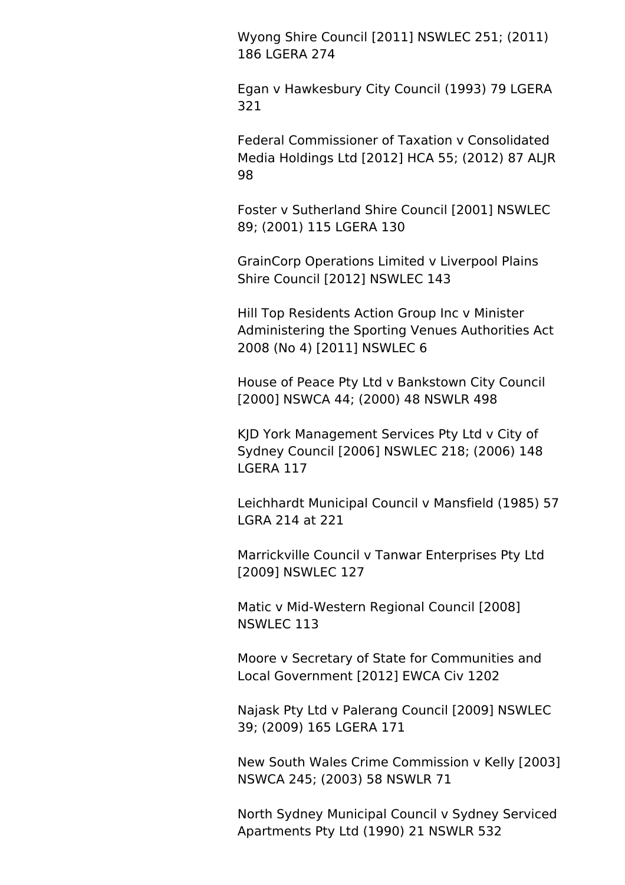Wyong Shire Council [2011] NSWLEC 251; (2011) 186 LGERA 274

Egan v Hawkesbury City Council (1993) 79 LGERA 321

Federal Commissioner of Taxation v Consolidated Media Holdings Ltd [2012] HCA 55; (2012) 87 ALJR 98

Foster v Sutherland Shire Council [2001] NSWLEC 89; (2001) 115 LGERA 130

GrainCorp Operations Limited v Liverpool Plains Shire Council [2012] NSWLEC 143

Hill Top Residents Action Group Inc v Minister Administering the Sporting Venues Authorities Act 2008 (No 4) [2011] NSWLEC 6

House of Peace Pty Ltd v Bankstown City Council [2000] NSWCA 44; (2000) 48 NSWLR 498

KJD York Management Services Pty Ltd v City of Sydney Council [2006] NSWLEC 218; (2006) 148 LGERA 117

Leichhardt Municipal Council v Mansfield (1985) 57 LGRA 214 at 221

Marrickville Council v Tanwar Enterprises Pty Ltd [2009] NSWLEC 127

Matic v Mid-Western Regional Council [2008] NSWLEC 113

Moore v Secretary of State for Communities and Local Government [2012] EWCA Civ 1202

Najask Pty Ltd v Palerang Council [2009] NSWLEC 39; (2009) 165 LGERA 171

New South Wales Crime Commission v Kelly [2003] NSWCA 245; (2003) 58 NSWLR 71

North Sydney Municipal Council v Sydney Serviced Apartments Pty Ltd (1990) 21 NSWLR 532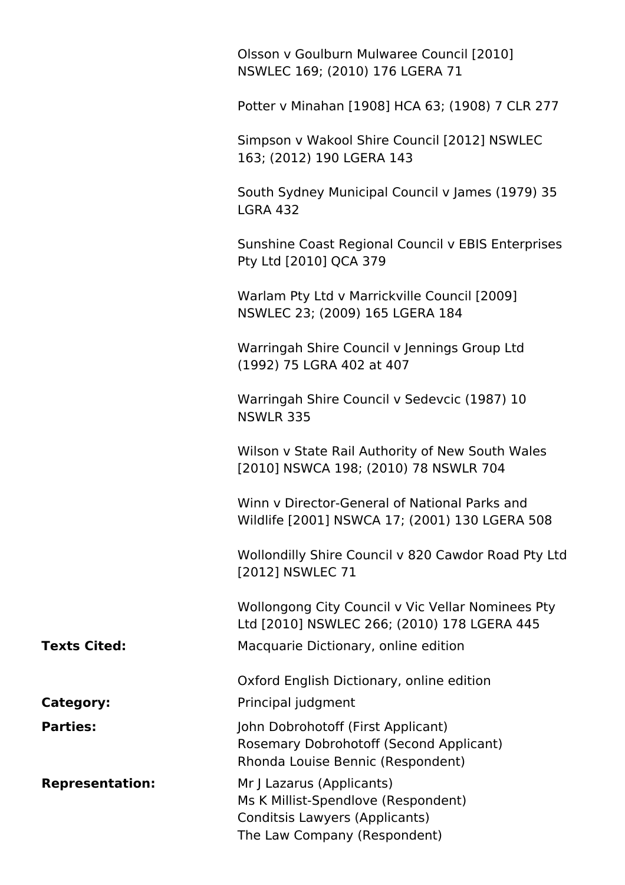|                        | Olsson v Goulburn Mulwaree Council [2010]<br>NSWLEC 169; (2010) 176 LGERA 71                                                       |
|------------------------|------------------------------------------------------------------------------------------------------------------------------------|
|                        | Potter v Minahan [1908] HCA 63; (1908) 7 CLR 277                                                                                   |
|                        | Simpson v Wakool Shire Council [2012] NSWLEC<br>163; (2012) 190 LGERA 143                                                          |
|                        | South Sydney Municipal Council v James (1979) 35<br><b>LGRA 432</b>                                                                |
|                        | Sunshine Coast Regional Council v EBIS Enterprises<br>Pty Ltd [2010] QCA 379                                                       |
|                        | Warlam Pty Ltd v Marrickville Council [2009]<br>NSWLEC 23; (2009) 165 LGERA 184                                                    |
|                        | Warringah Shire Council v Jennings Group Ltd<br>(1992) 75 LGRA 402 at 407                                                          |
|                        | Warringah Shire Council v Sedevcic (1987) 10<br><b>NSWLR 335</b>                                                                   |
|                        | Wilson v State Rail Authority of New South Wales<br>[2010] NSWCA 198; (2010) 78 NSWLR 704                                          |
|                        | Winn v Director-General of National Parks and<br>Wildlife [2001] NSWCA 17; (2001) 130 LGERA 508                                    |
|                        | Wollondilly Shire Council v 820 Cawdor Road Pty Ltd<br>[2012] NSWLEC 71                                                            |
|                        | Wollongong City Council v Vic Vellar Nominees Pty<br>Ltd [2010] NSWLEC 266; (2010) 178 LGERA 445                                   |
| <b>Texts Cited:</b>    | Macquarie Dictionary, online edition                                                                                               |
|                        | Oxford English Dictionary, online edition                                                                                          |
| Category:              | Principal judgment                                                                                                                 |
| <b>Parties:</b>        | John Dobrohotoff (First Applicant)<br>Rosemary Dobrohotoff (Second Applicant)<br>Rhonda Louise Bennic (Respondent)                 |
| <b>Representation:</b> | Mr J Lazarus (Applicants)<br>Ms K Millist-Spendlove (Respondent)<br>Conditsis Lawyers (Applicants)<br>The Law Company (Respondent) |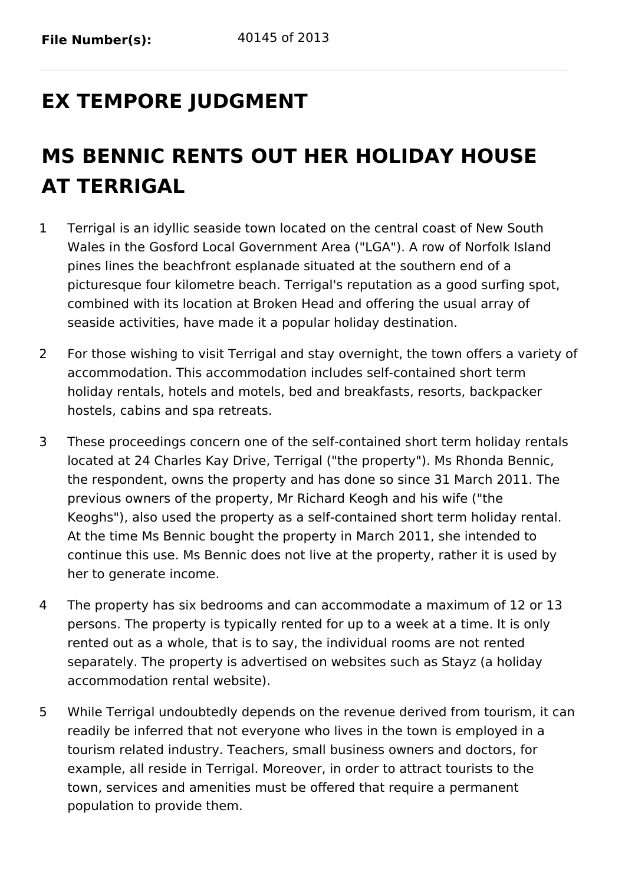# **EX TEMPORE JUDGMENT**

# **MS BENNIC RENTS OUT HER HOLIDAY HOUSE AT TERRIGAL**

- 1 Terrigal is an idyllic seaside town located on the central coast of New South Wales in the Gosford Local Government Area ("LGA"). A row of Norfolk Island pines lines the beachfront esplanade situated at the southern end of a picturesque four kilometre beach. Terrigal's reputation as a good surfing spot, combined with its location at Broken Head and offering the usual array of seaside activities, have made it a popular holiday destination.
- 2 For those wishing to visit Terrigal and stay overnight, the town offers a variety of accommodation. This accommodation includes self-contained short term holiday rentals, hotels and motels, bed and breakfasts, resorts, backpacker hostels, cabins and spa retreats.
- 3 These proceedings concern one of the self-contained short term holiday rentals located at 24 Charles Kay Drive, Terrigal ("the property"). Ms Rhonda Bennic, the respondent, owns the property and has done so since 31 March 2011. The previous owners of the property, Mr Richard Keogh and his wife ("the Keoghs"), also used the property as a self-contained short term holiday rental. At the time Ms Bennic bought the property in March 2011, she intended to continue this use. Ms Bennic does not live at the property, rather it is used by her to generate income.
- 4 The property has six bedrooms and can accommodate a maximum of 12 or 13 persons. The property is typically rented for up to a week at a time. It is only rented out as a whole, that is to say, the individual rooms are not rented separately. The property is advertised on websites such as Stayz (a holiday accommodation rental website).
- 5 While Terrigal undoubtedly depends on the revenue derived from tourism, it can readily be inferred that not everyone who lives in the town is employed in a tourism related industry. Teachers, small business owners and doctors, for example, all reside in Terrigal. Moreover, in order to attract tourists to the town, services and amenities must be offered that require a permanent population to provide them.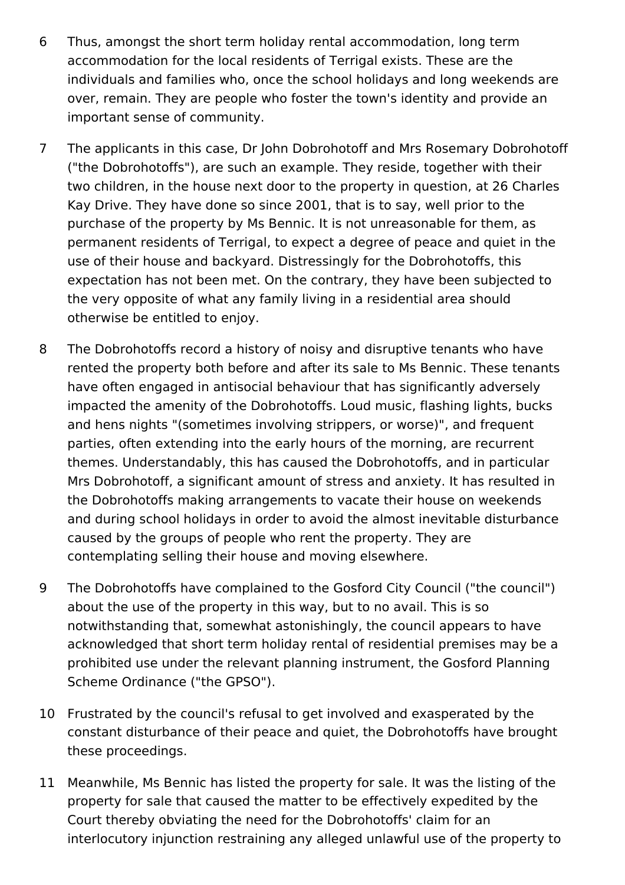- 6 Thus, amongst the short term holiday rental accommodation, long term accommodation for the local residents of Terrigal exists. These are the individuals and families who, once the school holidays and long weekends are over, remain. They are people who foster the town's identity and provide an important sense of community.
- 7 The applicants in this case, Dr John Dobrohotoff and Mrs Rosemary Dobrohotoff ("the Dobrohotoffs"), are such an example. They reside, together with their two children, in the house next door to the property in question, at 26 Charles Kay Drive. They have done so since 2001, that is to say, well prior to the purchase of the property by Ms Bennic. It is not unreasonable for them, as permanent residents of Terrigal, to expect a degree of peace and quiet in the use of their house and backyard. Distressingly for the Dobrohotoffs, this expectation has not been met. On the contrary, they have been subjected to the very opposite of what any family living in a residential area should otherwise be entitled to enjoy.
- 8 The Dobrohotoffs record a history of noisy and disruptive tenants who have rented the property both before and after its sale to Ms Bennic. These tenants have often engaged in antisocial behaviour that has significantly adversely impacted the amenity of the Dobrohotoffs. Loud music, flashing lights, bucks and hens nights "(sometimes involving strippers, or worse)", and frequent parties, often extending into the early hours of the morning, are recurrent themes. Understandably, this has caused the Dobrohotoffs, and in particular Mrs Dobrohotoff, a significant amount of stress and anxiety. It has resulted in the Dobrohotoffs making arrangements to vacate their house on weekends and during school holidays in order to avoid the almost inevitable disturbance caused by the groups of people who rent the property. They are contemplating selling their house and moving elsewhere.
- 9 The Dobrohotoffs have complained to the Gosford City Council ("the council") about the use of the property in this way, but to no avail. This is so notwithstanding that, somewhat astonishingly, the council appears to have acknowledged that short term holiday rental of residential premises may be a prohibited use under the relevant planning instrument, the Gosford Planning Scheme Ordinance ("the GPSO").
- 10 Frustrated by the council's refusal to get involved and exasperated by the constant disturbance of their peace and quiet, the Dobrohotoffs have brought these proceedings.
- 11 Meanwhile, Ms Bennic has listed the property for sale. It was the listing of the property for sale that caused the matter to be effectively expedited by the Court thereby obviating the need for the Dobrohotoffs' claim for an interlocutory injunction restraining any alleged unlawful use of the property to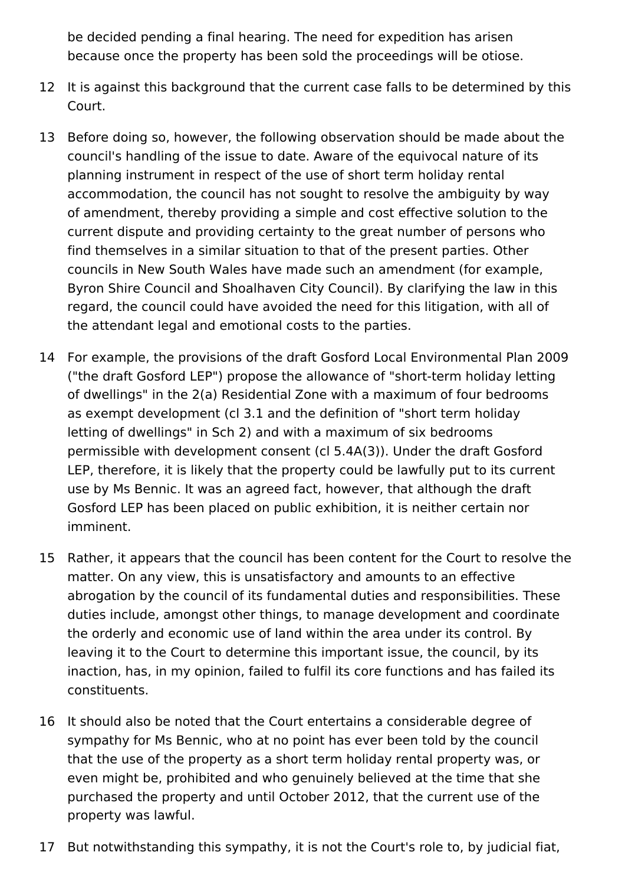be decided pending a final hearing. The need for expedition has arisen because once the property has been sold the proceedings will be otiose.

- 12 It is against this background that the current case falls to be determined by this Court.
- 13 Before doing so, however, the following observation should be made about the council's handling of the issue to date. Aware of the equivocal nature of its planning instrument in respect of the use of short term holiday rental accommodation, the council has not sought to resolve the ambiguity by way of amendment, thereby providing a simple and cost effective solution to the current dispute and providing certainty to the great number of persons who find themselves in a similar situation to that of the present parties. Other councils in New South Wales have made such an amendment (for example, Byron Shire Council and Shoalhaven City Council). By clarifying the law in this regard, the council could have avoided the need for this litigation, with all of the attendant legal and emotional costs to the parties.
- 14 For example, the provisions of the draft Gosford Local Environmental Plan 2009 ("the draft Gosford LEP") propose the allowance of "short-term holiday letting of dwellings" in the 2(a) Residential Zone with a maximum of four bedrooms as exempt development (cl 3.1 and the definition of "short term holiday letting of dwellings" in Sch 2) and with a maximum of six bedrooms permissible with development consent (cl 5.4A(3)). Under the draft Gosford LEP, therefore, it is likely that the property could be lawfully put to its current use by Ms Bennic. It was an agreed fact, however, that although the draft Gosford LEP has been placed on public exhibition, it is neither certain nor imminent.
- 15 Rather, it appears that the council has been content for the Court to resolve the matter. On any view, this is unsatisfactory and amounts to an effective abrogation by the council of its fundamental duties and responsibilities. These duties include, amongst other things, to manage development and coordinate the orderly and economic use of land within the area under its control. By leaving it to the Court to determine this important issue, the council, by its inaction, has, in my opinion, failed to fulfil its core functions and has failed its constituents.
- 16 It should also be noted that the Court entertains a considerable degree of sympathy for Ms Bennic, who at no point has ever been told by the council that the use of the property as a short term holiday rental property was, or even might be, prohibited and who genuinely believed at the time that she purchased the property and until October 2012, that the current use of the property was lawful.
- 17 But notwithstanding this sympathy, it is not the Court's role to, by judicial fiat,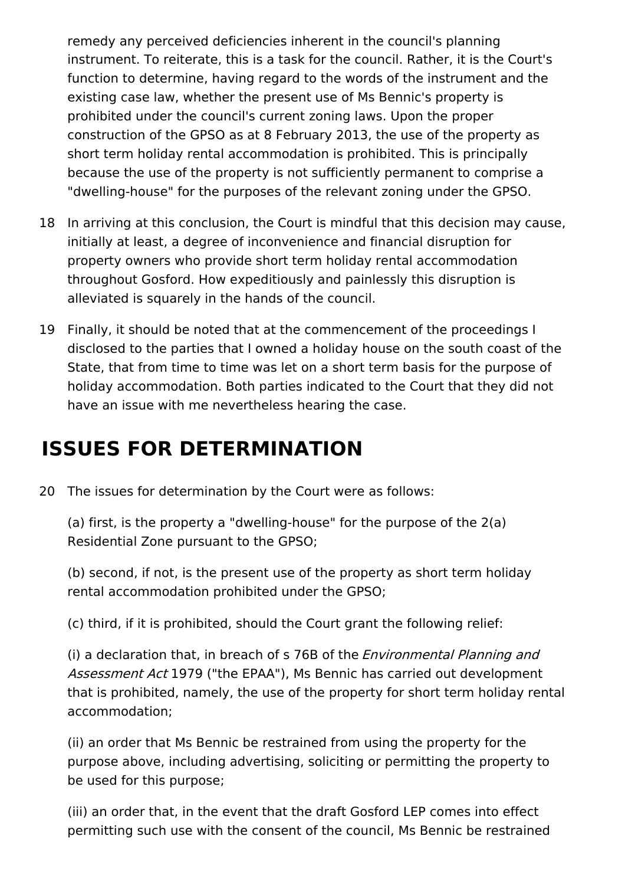remedy any perceived deficiencies inherent in the council's planning instrument. To reiterate, this is a task for the council. Rather, it is the Court's function to determine, having regard to the words of the instrument and the existing case law, whether the present use of Ms Bennic's property is prohibited under the council's current zoning laws. Upon the proper construction of the GPSO as at 8 February 2013, the use of the property as short term holiday rental accommodation is prohibited. This is principally because the use of the property is not sufficiently permanent to comprise a "dwelling-house" for the purposes of the relevant zoning under the GPSO.

- 18 In arriving at this conclusion, the Court is mindful that this decision may cause, initially at least, a degree of inconvenience and financial disruption for property owners who provide short term holiday rental accommodation throughout Gosford. How expeditiously and painlessly this disruption is alleviated is squarely in the hands of the council.
- 19 Finally, it should be noted that at the commencement of the proceedings I disclosed to the parties that I owned a holiday house on the south coast of the State, that from time to time was let on a short term basis for the purpose of holiday accommodation. Both parties indicated to the Court that they did not have an issue with me nevertheless hearing the case.

## **ISSUES FOR DETERMINATION**

20 The issues for determination by the Court were as follows:

(a) first, is the property a "dwelling-house" for the purpose of the 2(a) Residential Zone pursuant to the GPSO;

(b) second, if not, is the present use of the property as short term holiday rental accommodation prohibited under the GPSO;

(c) third, if it is prohibited, should the Court grant the following relief:

(i) a declaration that, in breach of s 76B of the *Environmental Planning and* Assessment Act 1979 ("the EPAA"). Ms Bennic has carried out development that is prohibited, namely, the use of the property for short term holiday rental accommodation;

(ii) an order that Ms Bennic be restrained from using the property for the purpose above, including advertising, soliciting or permitting the property to be used for this purpose;

(iii) an order that, in the event that the draft Gosford LEP comes into effect permitting such use with the consent of the council, Ms Bennic be restrained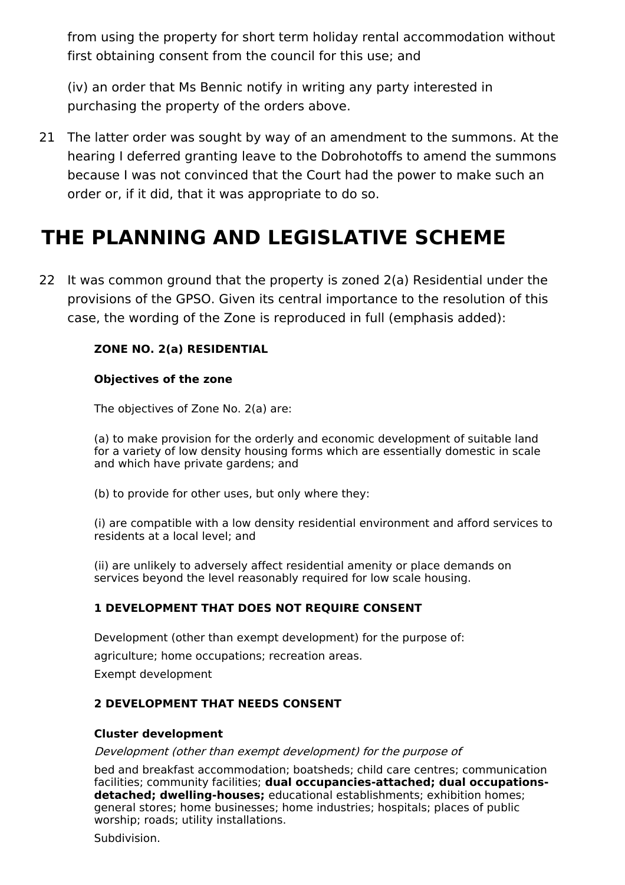from using the property for short term holiday rental accommodation without first obtaining consent from the council for this use; and

(iv) an order that Ms Bennic notify in writing any party interested in purchasing the property of the orders above.

21 The latter order was sought by way of an amendment to the summons. At the hearing I deferred granting leave to the Dobrohotoffs to amend the summons because I was not convinced that the Court had the power to make such an order or, if it did, that it was appropriate to do so.

# **THE PLANNING AND LEGISLATIVE SCHEME**

22 It was common ground that the property is zoned 2(a) Residential under the provisions of the GPSO. Given its central importance to the resolution of this case, the wording of the Zone is reproduced in full (emphasis added):

#### **ZONE NO. 2(a) RESIDENTIAL**

#### **Objectives of the zone**

The objectives of Zone No. 2(a) are:

(a) to make provision for the orderly and economic development of suitable land for a variety of low density housing forms which are essentially domestic in scale and which have private gardens; and

(b) to provide for other uses, but only where they:

(i) are compatible with a low density residential environment and afford services to residents at a local level; and

(ii) are unlikely to adversely affect residential amenity or place demands on services beyond the level reasonably required for low scale housing.

#### **1 DEVELOPMENT THAT DOES NOT REQUIRE CONSENT**

Development (other than exempt development) for the purpose of: agriculture; home occupations; recreation areas. Exempt development

#### **2 DEVELOPMENT THAT NEEDS CONSENT**

#### **Cluster development**

Development (other than exempt development) for the purpose of

bed and breakfast accommodation; boatsheds; child care centres; communication facilities; community facilities; **dual occupancies-attached; dual occupationsdetached; dwelling-houses;** educational establishments; exhibition homes; general stores; home businesses; home industries; hospitals; places of public worship; roads; utility installations.

Subdivision.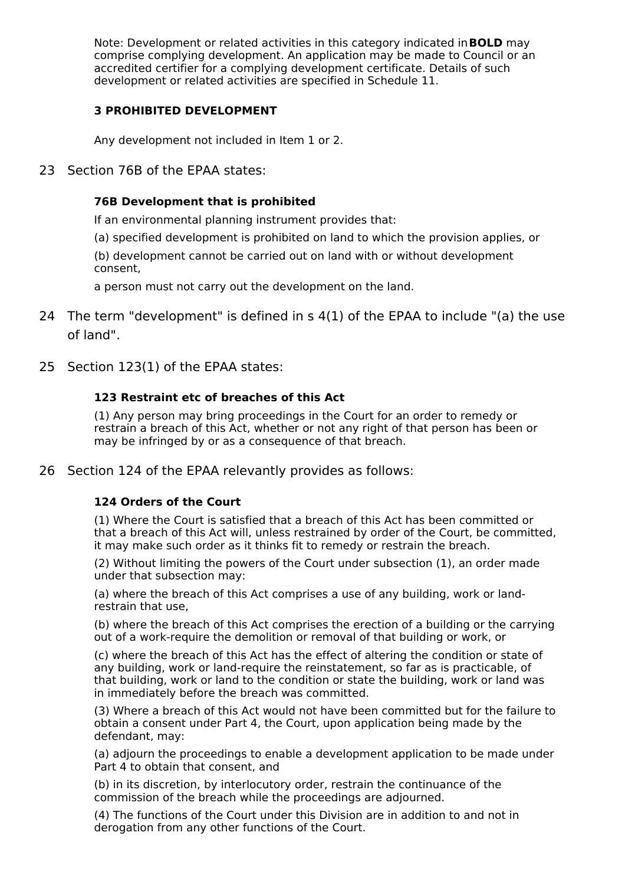Note: Development or related activities in this category indicated in**BOLD** may comprise complying development. An application may be made to Council or an accredited certifier for a complying development certificate. Details of such development or related activities are specified in Schedule 11.

#### **3 PROHIBITED DEVELOPMENT**

Any development not included in Item 1 or 2.

23 Section 76B of the EPAA states:

#### **76B Development that is prohibited**

If an environmental planning instrument provides that:

(a) specified development is prohibited on land to which the provision applies, or

(b) development cannot be carried out on land with or without development consent,

a person must not carry out the development on the land.

- 24 The term "development" is defined in s 4(1) of the EPAA to include "(a) the use of land".
- 25 Section 123(1) of the EPAA states:

#### **123 Restraint etc of breaches of this Act**

(1) Any person may bring proceedings in the Court for an order to remedy or restrain a breach of this Act, whether or not any right of that person has been or may be infringed by or as a consequence of that breach.

26 Section 124 of the EPAA relevantly provides as follows:

#### **124 Orders of the Court**

(1) Where the Court is satisfied that a breach of this Act has been committed or that a breach of this Act will, unless restrained by order of the Court, be committed, it may make such order as it thinks fit to remedy or restrain the breach.

(2) Without limiting the powers of the Court under subsection (1), an order made under that subsection may:

(a) where the breach of this Act comprises a use of any building, work or landrestrain that use,

(b) where the breach of this Act comprises the erection of a building or the carrying out of a work-require the demolition or removal of that building or work, or

(c) where the breach of this Act has the effect of altering the condition or state of any building, work or land-require the reinstatement, so far as is practicable, of that building, work or land to the condition or state the building, work or land was in immediately before the breach was committed.

(3) Where a breach of this Act would not have been committed but for the failure to obtain a consent under Part 4, the Court, upon application being made by the defendant, may:

(a) adjourn the proceedings to enable a development application to be made under Part 4 to obtain that consent, and

(b) in its discretion, by interlocutory order, restrain the continuance of the commission of the breach while the proceedings are adjourned.

(4) The functions of the Court under this Division are in addition to and not in derogation from any other functions of the Court.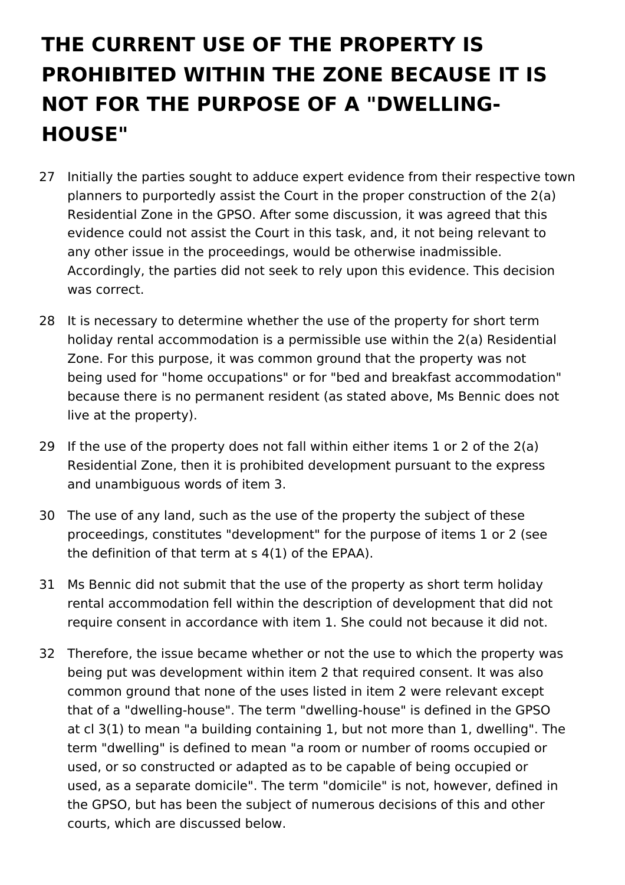# **THE CURRENT USE OF THE PROPERTY IS PROHIBITED WITHIN THE ZONE BECAUSE IT IS NOT FOR THE PURPOSE OF A "DWELLING-HOUSE"**

- 27 Initially the parties sought to adduce expert evidence from their respective town planners to purportedly assist the Court in the proper construction of the 2(a) Residential Zone in the GPSO. After some discussion, it was agreed that this evidence could not assist the Court in this task, and, it not being relevant to any other issue in the proceedings, would be otherwise inadmissible. Accordingly, the parties did not seek to rely upon this evidence. This decision was correct.
- 28 It is necessary to determine whether the use of the property for short term holiday rental accommodation is a permissible use within the 2(a) Residential Zone. For this purpose, it was common ground that the property was not being used for "home occupations" or for "bed and breakfast accommodation" because there is no permanent resident (as stated above, Ms Bennic does not live at the property).
- 29 If the use of the property does not fall within either items 1 or 2 of the 2(a) Residential Zone, then it is prohibited development pursuant to the express and unambiguous words of item 3.
- 30 The use of any land, such as the use of the property the subject of these proceedings, constitutes "development" for the purpose of items 1 or 2 (see the definition of that term at s 4(1) of the EPAA).
- 31 Ms Bennic did not submit that the use of the property as short term holiday rental accommodation fell within the description of development that did not require consent in accordance with item 1. She could not because it did not.
- 32 Therefore, the issue became whether or not the use to which the property was being put was development within item 2 that required consent. It was also common ground that none of the uses listed in item 2 were relevant except that of a "dwelling-house". The term "dwelling-house" is defined in the GPSO at cl 3(1) to mean "a building containing 1, but not more than 1, dwelling". The term "dwelling" is defined to mean "a room or number of rooms occupied or used, or so constructed or adapted as to be capable of being occupied or used, as a separate domicile". The term "domicile" is not, however, defined in the GPSO, but has been the subject of numerous decisions of this and other courts, which are discussed below.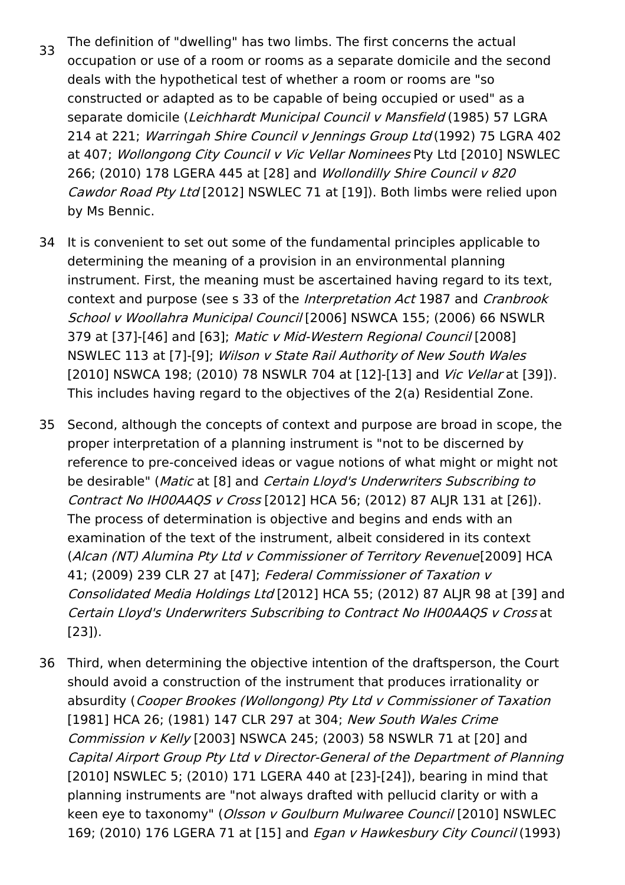- 33 The definition of "dwelling" has two limbs. The first concerns the actual occupation or use of a room or rooms as a separate domicile and the second deals with the hypothetical test of whether a room or rooms are "so constructed or adapted as to be capable of being occupied or used" as a separate domicile (Leichhardt Municipal Council v Mansfield (1985) 57 LGRA 214 at 221; Warringah Shire Council <sup>v</sup> Jennings Group Ltd (1992) 75 LGRA 402 at 407; Wollongong City Council v Vic Vellar Nominees Pty Ltd [2010] NSWLEC 266; (2010) 178 LGERA 445 at [28] and *Wollondilly Shire Council v 820* Cawdor Road Pty Ltd [2012] NSWLEC 71 at [19]). Both limbs were relied upon by Ms Bennic.
- 34 It is convenient to set out some of the fundamental principles applicable to determining the meaning of a provision in an environmental planning instrument. First, the meaning must be ascertained having regard to its text, context and purpose (see s 33 of the Interpretation Act 1987 and Cranbrook School <sup>v</sup> Woollahra Municipal Council [2006] NSWCA 155; (2006) 66 NSWLR 379 at [37]-[46] and [63]; Matic <sup>v</sup> Mid-Western Regional Council [2008] NSWLEC 113 at [7]-[9]; Wilson <sup>v</sup> State Rail Authority of New South Wales [2010] NSWCA 198; (2010) 78 NSWLR 704 at [12]-[13] and Vic Vellar at [39]). This includes having regard to the objectives of the 2(a) Residential Zone.
- 35 Second, although the concepts of context and purpose are broad in scope, the proper interpretation of a planning instrument is "not to be discerned by reference to pre-conceived ideas or vague notions of what might or might not be desirable" (Matic at [8] and Certain Lloyd's Underwriters Subscribing to Contract No IH00AAQS <sup>v</sup> Cross [2012] HCA 56; (2012) 87 ALJR 131 at [26]). The process of determination is objective and begins and ends with an examination of the text of the instrument, albeit considered in its context (Alcan (NT) Alumina Pty Ltd <sup>v</sup> Commissioner of Territory Revenue[2009] HCA 41; (2009) 239 CLR 27 at [47]; Federal Commissioner of Taxation v Consolidated Media Holdings Ltd [2012] HCA 55; (2012) 87 ALJR 98 at [39] and Certain Lloyd's Underwriters Subscribing to Contract No IH00AAQS <sup>v</sup> Cross at [23]).
- 36 Third, when determining the objective intention of the draftsperson, the Court should avoid a construction of the instrument that produces irrationality or absurdity (Cooper Brookes (Wollongong) Pty Ltd <sup>v</sup> Commissioner of Taxation [1981] HCA 26; (1981) 147 CLR 297 at 304; New South Wales Crime Commission v Kelly [2003] NSWCA 245; (2003) 58 NSWLR 71 at [20] and Capital Airport Group Pty Ltd <sup>v</sup> Director-General of the Department of Planning [2010] NSWLEC 5; (2010) 171 LGERA 440 at [23]-[24]), bearing in mind that planning instruments are "not always drafted with pellucid clarity or with a keen eye to taxonomy" (Olsson v Goulburn Mulwaree Council [2010] NSWLEC 169; (2010) 176 LGERA 71 at [15] and *Egan v Hawkesbury City Council* (1993)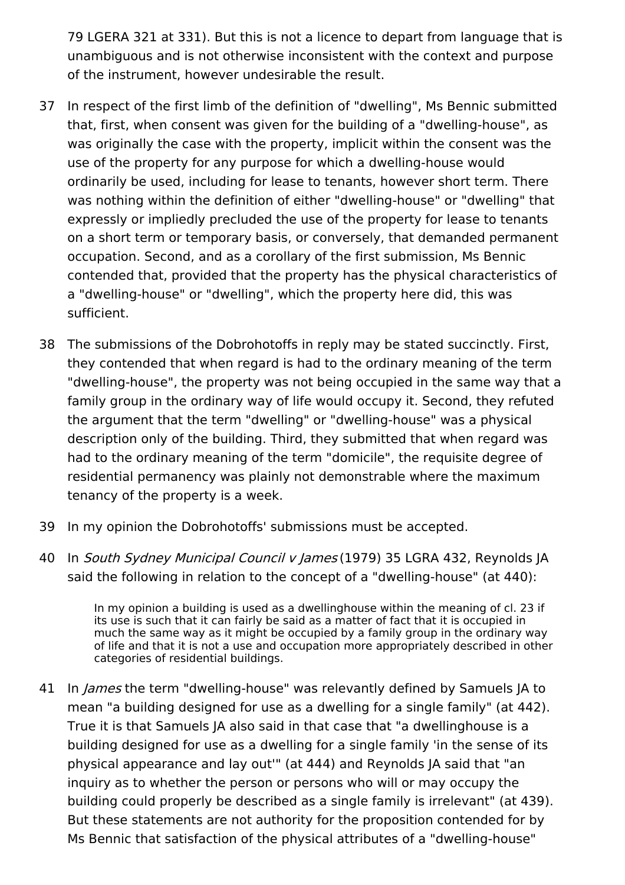79 LGERA 321 at 331). But this is not a licence to depart from language that is unambiguous and is not otherwise inconsistent with the context and purpose of the instrument, however undesirable the result.

- 37 In respect of the first limb of the definition of "dwelling", Ms Bennic submitted that, first, when consent was given for the building of a "dwelling-house", as was originally the case with the property, implicit within the consent was the use of the property for any purpose for which a dwelling-house would ordinarily be used, including for lease to tenants, however short term. There was nothing within the definition of either "dwelling-house" or "dwelling" that expressly or impliedly precluded the use of the property for lease to tenants on a short term or temporary basis, or conversely, that demanded permanent occupation. Second, and as a corollary of the first submission, Ms Bennic contended that, provided that the property has the physical characteristics of a "dwelling-house" or "dwelling", which the property here did, this was sufficient.
- 38 The submissions of the Dobrohotoffs in reply may be stated succinctly. First, they contended that when regard is had to the ordinary meaning of the term "dwelling-house", the property was not being occupied in the same way that a family group in the ordinary way of life would occupy it. Second, they refuted the argument that the term "dwelling" or "dwelling-house" was a physical description only of the building. Third, they submitted that when regard was had to the ordinary meaning of the term "domicile", the requisite degree of residential permanency was plainly not demonstrable where the maximum tenancy of the property is a week.
- 39 In my opinion the Dobrohotoffs' submissions must be accepted.
- 40 In *South Sydney Municipal Council v James* (1979) 35 LGRA 432, Reynolds JA said the following in relation to the concept of a "dwelling-house" (at 440):

In my opinion a building is used as a dwellinghouse within the meaning of cl. 23 if its use is such that it can fairly be said as a matter of fact that it is occupied in much the same way as it might be occupied by a family group in the ordinary way of life and that it is not a use and occupation more appropriately described in other categories of residential buildings.

41 In *James* the term "dwelling-house" was relevantly defined by Samuels JA to mean "a building designed for use as a dwelling for a single family" (at 442). True it is that Samuels JA also said in that case that "a dwellinghouse is a building designed for use as a dwelling for a single family 'in the sense of its physical appearance and lay out'" (at 444) and Reynolds JA said that "an inquiry as to whether the person or persons who will or may occupy the building could properly be described as a single family is irrelevant" (at 439). But these statements are not authority for the proposition contended for by Ms Bennic that satisfaction of the physical attributes of a "dwelling-house"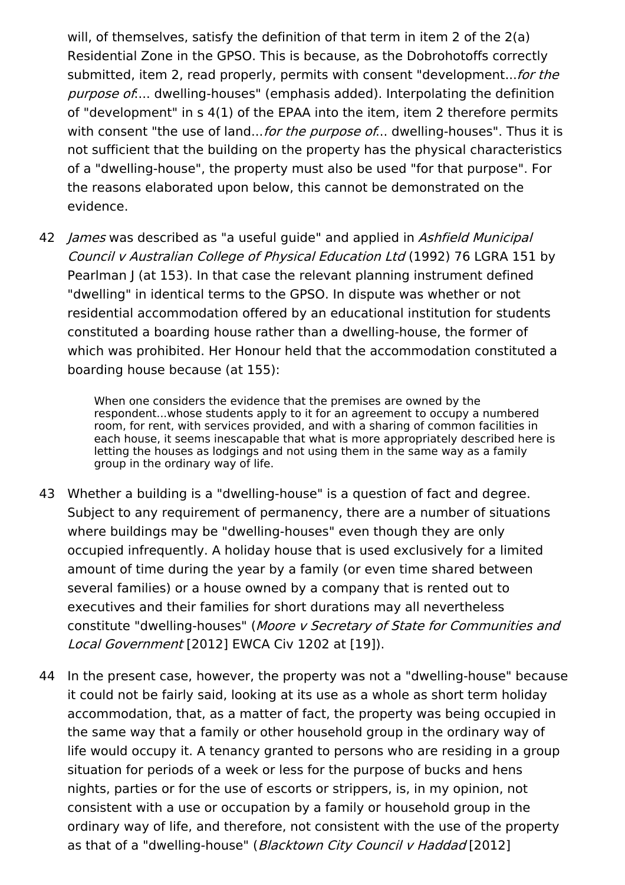will, of themselves, satisfy the definition of that term in item 2 of the 2(a) Residential Zone in the GPSO. This is because, as the Dobrohotoffs correctly submitted, item 2, read properly, permits with consent "development... for the purpose of.... dwelling-houses" (emphasis added). Interpolating the definition of "development" in s 4(1) of the EPAA into the item, item 2 therefore permits with consent "the use of land... for the purpose of... dwelling-houses". Thus it is not sufficient that the building on the property has the physical characteristics of a "dwelling-house", the property must also be used "for that purpose". For the reasons elaborated upon below, this cannot be demonstrated on the evidence.

42 *James* was described as "a useful guide" and applied in Ashfield Municipal Council <sup>v</sup> Australian College of Physical Education Ltd (1992) 76 LGRA 151 by Pearlman J (at 153). In that case the relevant planning instrument defined "dwelling" in identical terms to the GPSO. In dispute was whether or not residential accommodation offered by an educational institution for students constituted a boarding house rather than a dwelling-house, the former of which was prohibited. Her Honour held that the accommodation constituted a boarding house because (at 155):

> When one considers the evidence that the premises are owned by the respondent...whose students apply to it for an agreement to occupy a numbered room, for rent, with services provided, and with a sharing of common facilities in each house, it seems inescapable that what is more appropriately described here is letting the houses as lodgings and not using them in the same way as a family group in the ordinary way of life.

- 43 Whether a building is a "dwelling-house" is a question of fact and degree. Subject to any requirement of permanency, there are a number of situations where buildings may be "dwelling-houses" even though they are only occupied infrequently. A holiday house that is used exclusively for a limited amount of time during the year by a family (or even time shared between several families) or a house owned by a company that is rented out to executives and their families for short durations may all nevertheless constitute "dwelling-houses" (Moore <sup>v</sup> Secretary of State for Communities and Local Government [2012] EWCA Civ 1202 at [19]).
- 44 In the present case, however, the property was not a "dwelling-house" because it could not be fairly said, looking at its use as a whole as short term holiday accommodation, that, as a matter of fact, the property was being occupied in the same way that a family or other household group in the ordinary way of life would occupy it. A tenancy granted to persons who are residing in a group situation for periods of a week or less for the purpose of bucks and hens nights, parties or for the use of escorts or strippers, is, in my opinion, not consistent with a use or occupation by a family or household group in the ordinary way of life, and therefore, not consistent with the use of the property as that of a "dwelling-house" (*Blacktown City Council y Haddad* [2012]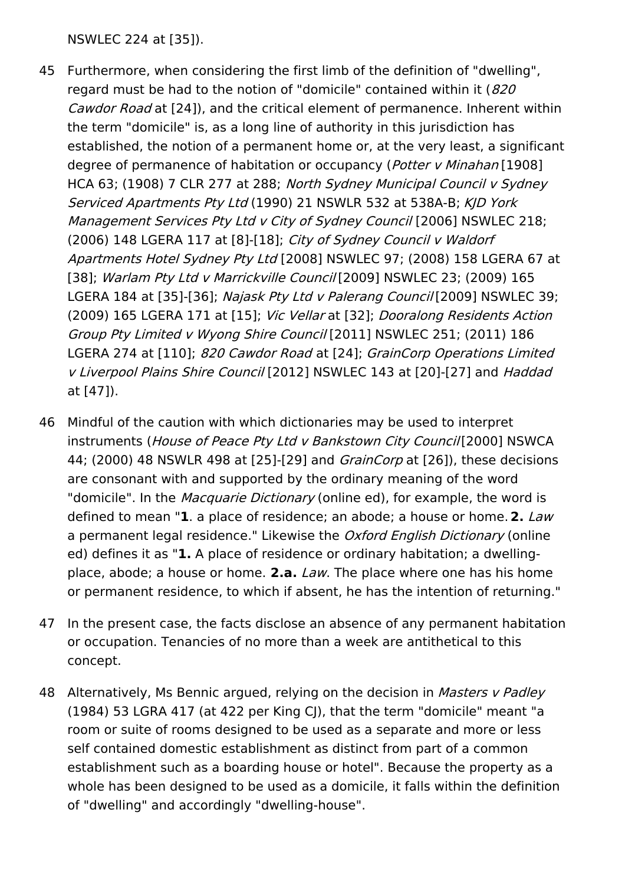NSWLEC 224 at [35]).

- 45 Furthermore, when considering the first limb of the definition of "dwelling", regard must be had to the notion of "domicile" contained within it  $(820)$ Cawdor Road at [24]), and the critical element of permanence. Inherent within the term "domicile" is, as a long line of authority in this jurisdiction has established, the notion of a permanent home or, at the very least, a significant degree of permanence of habitation or occupancy (Potter v Minahan [1908] HCA 63; (1908) 7 CLR 277 at 288; North Sydney Municipal Council <sup>v</sup> Sydney Serviced Apartments Pty Ltd (1990) 21 NSWLR 532 at 538A-B; KJD York Management Services Pty Ltd v City of Sydney Council [2006] NSWLEC 218; (2006) 148 LGERA 117 at [8]-[18]; City of Sydney Council <sup>v</sup> Waldorf Apartments Hotel Sydney Pty Ltd [2008] NSWLEC 97; (2008) 158 LGERA 67 at [38]; Warlam Pty Ltd v Marrickville Council [2009] NSWLEC 23; (2009) 165 LGERA 184 at [35]-[36]; Najask Pty Ltd v Palerang Council [2009] NSWLEC 39; (2009) 165 LGERA 171 at [15]; Vic Vellar at [32]; Dooralong Residents Action Group Pty Limited <sup>v</sup> Wyong Shire Council [2011] NSWLEC 251; (2011) 186 LGERA 274 at [110]; 820 Cawdor Road at [24]; GrainCorp Operations Limited <sup>v</sup> Liverpool Plains Shire Council [2012] NSWLEC 143 at [20]-[27] and Haddad at [47]).
- 46 Mindful of the caution with which dictionaries may be used to interpret instruments (House of Peace Pty Ltd <sup>v</sup> Bankstown City Council[2000] NSWCA 44; (2000) 48 NSWLR 498 at [25]-[29] and *GrainCorp* at [26]), these decisions are consonant with and supported by the ordinary meaning of the word "domicile". In the *Macquarie Dictionary* (online ed), for example, the word is defined to mean "**1**. a place of residence; an abode; a house or home.**2.** Law a permanent legal residence." Likewise the Oxford English Dictionary (online ed) defines it as "**1.** A place of residence or ordinary habitation; a dwellingplace, abode; a house or home. **2.a.** Law. The place where one has his home or permanent residence, to which if absent, he has the intention of returning."
- 47 In the present case, the facts disclose an absence of any permanent habitation or occupation. Tenancies of no more than a week are antithetical to this concept.
- 48 Alternatively, Ms Bennic argued, relying on the decision in *Masters v Padley* (1984) 53 LGRA 417 (at 422 per King CJ), that the term "domicile" meant "a room or suite of rooms designed to be used as a separate and more or less self contained domestic establishment as distinct from part of a common establishment such as a boarding house or hotel". Because the property as a whole has been designed to be used as a domicile, it falls within the definition of "dwelling" and accordingly "dwelling-house".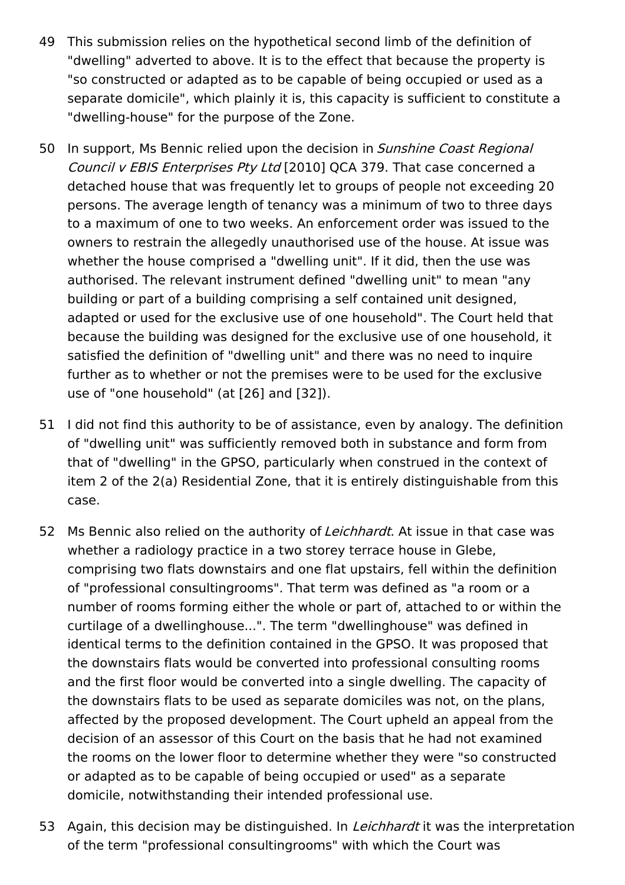- 49 This submission relies on the hypothetical second limb of the definition of "dwelling" adverted to above. It is to the effect that because the property is "so constructed or adapted as to be capable of being occupied or used as a separate domicile", which plainly it is, this capacity is sufficient to constitute a "dwelling-house" for the purpose of the Zone.
- 50 In support, Ms Bennic relied upon the decision in Sunshine Coast Regional Council <sup>v</sup> EBIS Enterprises Pty Ltd [2010] QCA 379. That case concerned a detached house that was frequently let to groups of people not exceeding 20 persons. The average length of tenancy was a minimum of two to three days to a maximum of one to two weeks. An enforcement order was issued to the owners to restrain the allegedly unauthorised use of the house. At issue was whether the house comprised a "dwelling unit". If it did, then the use was authorised. The relevant instrument defined "dwelling unit" to mean "any building or part of a building comprising a self contained unit designed, adapted or used for the exclusive use of one household". The Court held that because the building was designed for the exclusive use of one household, it satisfied the definition of "dwelling unit" and there was no need to inquire further as to whether or not the premises were to be used for the exclusive use of "one household" (at [26] and [32]).
- 51 I did not find this authority to be of assistance, even by analogy. The definition of "dwelling unit" was sufficiently removed both in substance and form from that of "dwelling" in the GPSO, particularly when construed in the context of item 2 of the 2(a) Residential Zone, that it is entirely distinguishable from this case.
- 52 Ms Bennic also relied on the authority of *Leichhardt*. At issue in that case was whether a radiology practice in a two storey terrace house in Glebe, comprising two flats downstairs and one flat upstairs, fell within the definition of "professional consultingrooms". That term was defined as "a room or a number of rooms forming either the whole or part of, attached to or within the curtilage of a dwellinghouse...". The term "dwellinghouse" was defined in identical terms to the definition contained in the GPSO. It was proposed that the downstairs flats would be converted into professional consulting rooms and the first floor would be converted into a single dwelling. The capacity of the downstairs flats to be used as separate domiciles was not, on the plans, affected by the proposed development. The Court upheld an appeal from the decision of an assessor of this Court on the basis that he had not examined the rooms on the lower floor to determine whether they were "so constructed or adapted as to be capable of being occupied or used" as a separate domicile, notwithstanding their intended professional use.
- 53 Again, this decision may be distinguished. In *Leichhardt* it was the interpretation of the term "professional consultingrooms" with which the Court was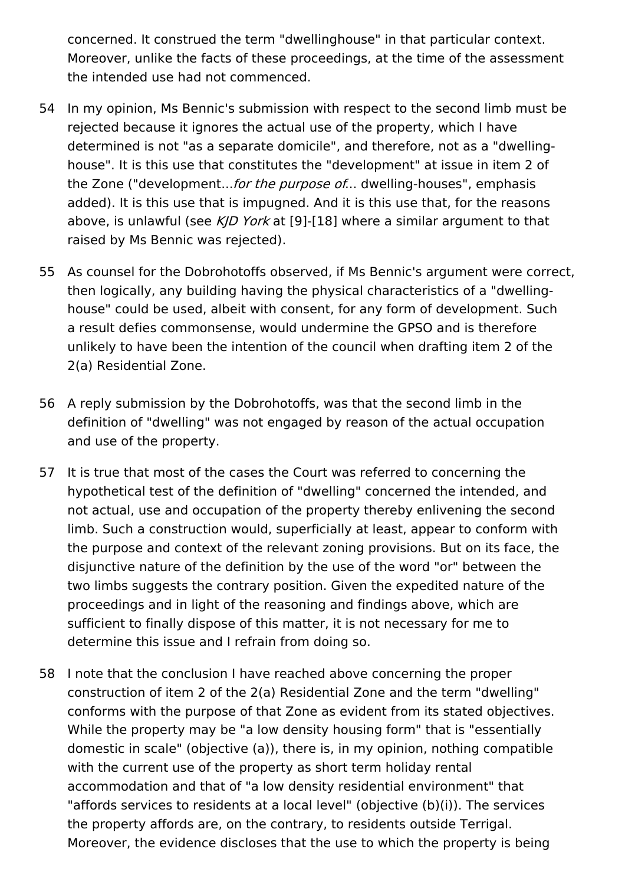concerned. It construed the term "dwellinghouse" in that particular context. Moreover, unlike the facts of these proceedings, at the time of the assessment the intended use had not commenced.

- 54 In my opinion, Ms Bennic's submission with respect to the second limb must be rejected because it ignores the actual use of the property, which I have determined is not "as a separate domicile", and therefore, not as a "dwellinghouse". It is this use that constitutes the "development" at issue in item 2 of the Zone ("development...*for the purpose of...* dwelling-houses", emphasis added). It is this use that is impugned. And it is this use that, for the reasons above, is unlawful (see KJD York at [9]-[18] where a similar argument to that raised by Ms Bennic was rejected).
- 55 As counsel for the Dobrohotoffs observed, if Ms Bennic's argument were correct, then logically, any building having the physical characteristics of a "dwellinghouse" could be used, albeit with consent, for any form of development. Such a result defies commonsense, would undermine the GPSO and is therefore unlikely to have been the intention of the council when drafting item 2 of the 2(a) Residential Zone.
- 56 A reply submission by the Dobrohotoffs, was that the second limb in the definition of "dwelling" was not engaged by reason of the actual occupation and use of the property.
- 57 It is true that most of the cases the Court was referred to concerning the hypothetical test of the definition of "dwelling" concerned the intended, and not actual, use and occupation of the property thereby enlivening the second limb. Such a construction would, superficially at least, appear to conform with the purpose and context of the relevant zoning provisions. But on its face, the disjunctive nature of the definition by the use of the word "or" between the two limbs suggests the contrary position. Given the expedited nature of the proceedings and in light of the reasoning and findings above, which are sufficient to finally dispose of this matter, it is not necessary for me to determine this issue and I refrain from doing so.
- 58 I note that the conclusion I have reached above concerning the proper construction of item 2 of the 2(a) Residential Zone and the term "dwelling" conforms with the purpose of that Zone as evident from its stated objectives. While the property may be "a low density housing form" that is "essentially domestic in scale" (objective (a)), there is, in my opinion, nothing compatible with the current use of the property as short term holiday rental accommodation and that of "a low density residential environment" that "affords services to residents at a local level" (objective (b)(i)). The services the property affords are, on the contrary, to residents outside Terrigal. Moreover, the evidence discloses that the use to which the property is being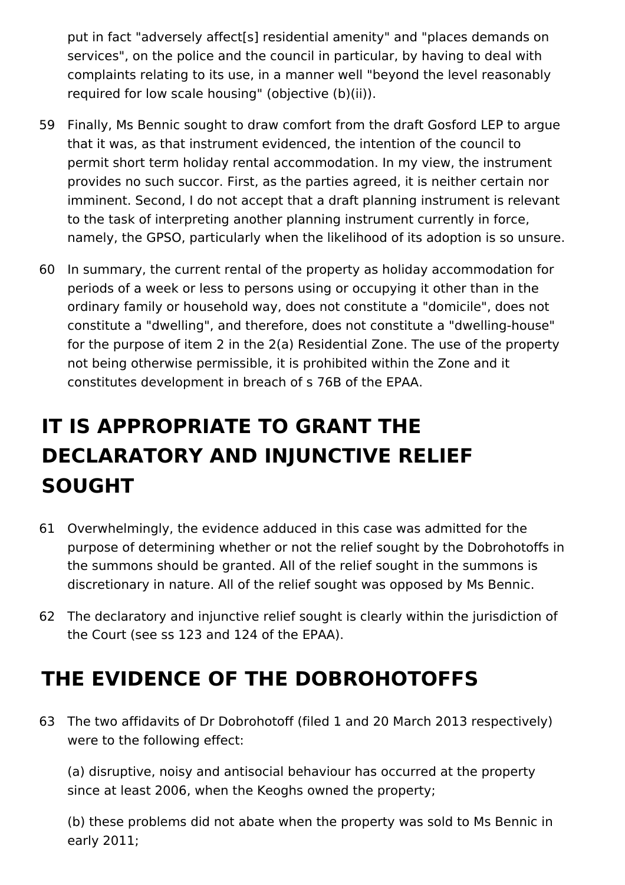put in fact "adversely affect[s] residential amenity" and "places demands on services", on the police and the council in particular, by having to deal with complaints relating to its use, in a manner well "beyond the level reasonably required for low scale housing" (objective (b)(ii)).

- 59 Finally, Ms Bennic sought to draw comfort from the draft Gosford LEP to argue that it was, as that instrument evidenced, the intention of the council to permit short term holiday rental accommodation. In my view, the instrument provides no such succor. First, as the parties agreed, it is neither certain nor imminent. Second, I do not accept that a draft planning instrument is relevant to the task of interpreting another planning instrument currently in force, namely, the GPSO, particularly when the likelihood of its adoption is so unsure.
- 60 In summary, the current rental of the property as holiday accommodation for periods of a week or less to persons using or occupying it other than in the ordinary family or household way, does not constitute a "domicile", does not constitute a "dwelling", and therefore, does not constitute a "dwelling-house" for the purpose of item 2 in the 2(a) Residential Zone. The use of the property not being otherwise permissible, it is prohibited within the Zone and it constitutes development in breach of s 76B of the EPAA.

# **IT IS APPROPRIATE TO GRANT THE DECLARATORY AND INJUNCTIVE RELIEF SOUGHT**

- 61 Overwhelmingly, the evidence adduced in this case was admitted for the purpose of determining whether or not the relief sought by the Dobrohotoffs in the summons should be granted. All of the relief sought in the summons is discretionary in nature. All of the relief sought was opposed by Ms Bennic.
- 62 The declaratory and injunctive relief sought is clearly within the jurisdiction of the Court (see ss 123 and 124 of the EPAA).

# **THE EVIDENCE OF THE DOBROHOTOFFS**

63 The two affidavits of Dr Dobrohotoff (filed 1 and 20 March 2013 respectively) were to the following effect:

(a) disruptive, noisy and antisocial behaviour has occurred at the property since at least 2006, when the Keoghs owned the property;

(b) these problems did not abate when the property was sold to Ms Bennic in early 2011;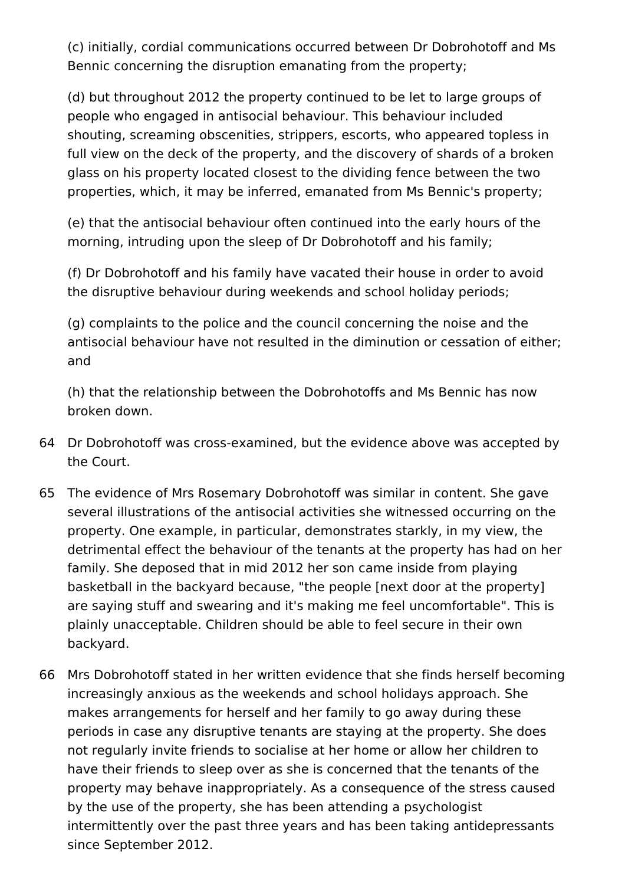(c) initially, cordial communications occurred between Dr Dobrohotoff and Ms Bennic concerning the disruption emanating from the property;

(d) but throughout 2012 the property continued to be let to large groups of people who engaged in antisocial behaviour. This behaviour included shouting, screaming obscenities, strippers, escorts, who appeared topless in full view on the deck of the property, and the discovery of shards of a broken glass on his property located closest to the dividing fence between the two properties, which, it may be inferred, emanated from Ms Bennic's property;

(e) that the antisocial behaviour often continued into the early hours of the morning, intruding upon the sleep of Dr Dobrohotoff and his family;

(f) Dr Dobrohotoff and his family have vacated their house in order to avoid the disruptive behaviour during weekends and school holiday periods;

(g) complaints to the police and the council concerning the noise and the antisocial behaviour have not resulted in the diminution or cessation of either; and

(h) that the relationship between the Dobrohotoffs and Ms Bennic has now broken down.

- 64 Dr Dobrohotoff was cross-examined, but the evidence above was accepted by the Court.
- 65 The evidence of Mrs Rosemary Dobrohotoff was similar in content. She gave several illustrations of the antisocial activities she witnessed occurring on the property. One example, in particular, demonstrates starkly, in my view, the detrimental effect the behaviour of the tenants at the property has had on her family. She deposed that in mid 2012 her son came inside from playing basketball in the backyard because, "the people [next door at the property] are saying stuff and swearing and it's making me feel uncomfortable". This is plainly unacceptable. Children should be able to feel secure in their own backyard.
- 66 Mrs Dobrohotoff stated in her written evidence that she finds herself becoming increasingly anxious as the weekends and school holidays approach. She makes arrangements for herself and her family to go away during these periods in case any disruptive tenants are staying at the property. She does not regularly invite friends to socialise at her home or allow her children to have their friends to sleep over as she is concerned that the tenants of the property may behave inappropriately. As a consequence of the stress caused by the use of the property, she has been attending a psychologist intermittently over the past three years and has been taking antidepressants since September 2012.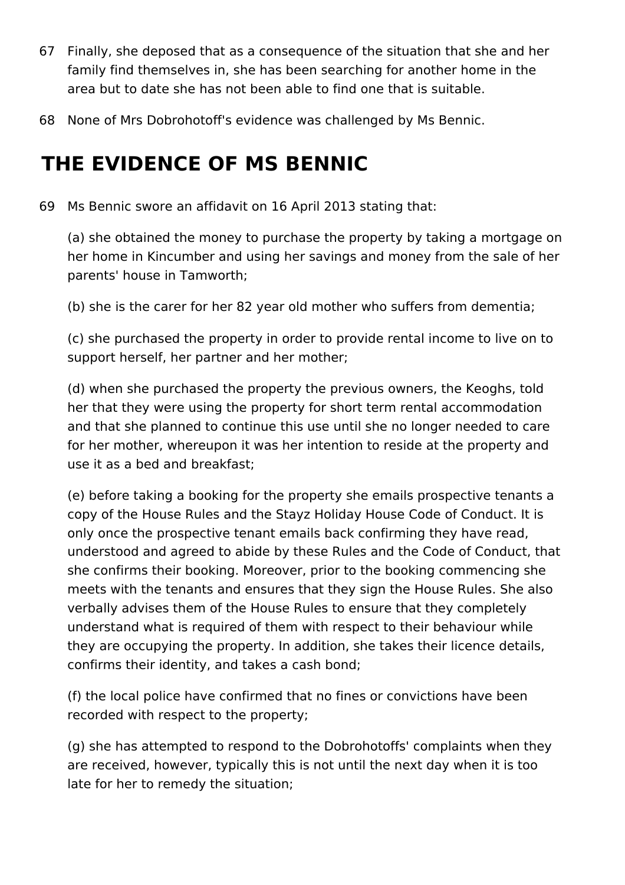- 67 Finally, she deposed that as a consequence of the situation that she and her family find themselves in, she has been searching for another home in the area but to date she has not been able to find one that is suitable.
- 68 None of Mrs Dobrohotoff's evidence was challenged by Ms Bennic.

## **THE EVIDENCE OF MS BENNIC**

69 Ms Bennic swore an affidavit on 16 April 2013 stating that:

(a) she obtained the money to purchase the property by taking a mortgage on her home in Kincumber and using her savings and money from the sale of her parents' house in Tamworth;

(b) she is the carer for her 82 year old mother who suffers from dementia;

(c) she purchased the property in order to provide rental income to live on to support herself, her partner and her mother;

(d) when she purchased the property the previous owners, the Keoghs, told her that they were using the property for short term rental accommodation and that she planned to continue this use until she no longer needed to care for her mother, whereupon it was her intention to reside at the property and use it as a bed and breakfast;

(e) before taking a booking for the property she emails prospective tenants a copy of the House Rules and the Stayz Holiday House Code of Conduct. It is only once the prospective tenant emails back confirming they have read, understood and agreed to abide by these Rules and the Code of Conduct, that she confirms their booking. Moreover, prior to the booking commencing she meets with the tenants and ensures that they sign the House Rules. She also verbally advises them of the House Rules to ensure that they completely understand what is required of them with respect to their behaviour while they are occupying the property. In addition, she takes their licence details, confirms their identity, and takes a cash bond;

(f) the local police have confirmed that no fines or convictions have been recorded with respect to the property;

(g) she has attempted to respond to the Dobrohotoffs' complaints when they are received, however, typically this is not until the next day when it is too late for her to remedy the situation;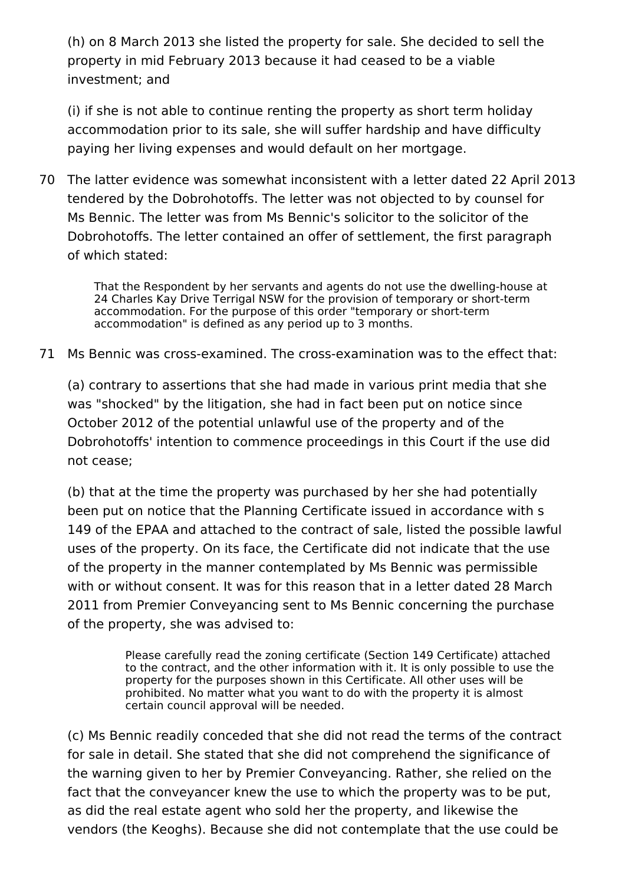(h) on 8 March 2013 she listed the property for sale. She decided to sell the property in mid February 2013 because it had ceased to be a viable investment; and

(i) if she is not able to continue renting the property as short term holiday accommodation prior to its sale, she will suffer hardship and have difficulty paying her living expenses and would default on her mortgage.

70 The latter evidence was somewhat inconsistent with a letter dated 22 April 2013 tendered by the Dobrohotoffs. The letter was not objected to by counsel for Ms Bennic. The letter was from Ms Bennic's solicitor to the solicitor of the Dobrohotoffs. The letter contained an offer of settlement, the first paragraph of which stated:

That the Respondent by her servants and agents do not use the dwelling-house at 24 Charles Kay Drive Terrigal NSW for the provision of temporary or short-term accommodation. For the purpose of this order "temporary or short-term accommodation" is defined as any period up to 3 months.

71 Ms Bennic was cross-examined. The cross-examination was to the effect that:

(a) contrary to assertions that she had made in various print media that she was "shocked" by the litigation, she had in fact been put on notice since October 2012 of the potential unlawful use of the property and of the Dobrohotoffs' intention to commence proceedings in this Court if the use did not cease;

(b) that at the time the property was purchased by her she had potentially been put on notice that the Planning Certificate issued in accordance with s 149 of the EPAA and attached to the contract of sale, listed the possible lawful uses of the property. On its face, the Certificate did not indicate that the use of the property in the manner contemplated by Ms Bennic was permissible with or without consent. It was for this reason that in a letter dated 28 March 2011 from Premier Conveyancing sent to Ms Bennic concerning the purchase of the property, she was advised to:

> Please carefully read the zoning certificate (Section 149 Certificate) attached to the contract, and the other information with it. It is only possible to use the property for the purposes shown in this Certificate. All other uses will be prohibited. No matter what you want to do with the property it is almost certain council approval will be needed.

(c) Ms Bennic readily conceded that she did not read the terms of the contract for sale in detail. She stated that she did not comprehend the significance of the warning given to her by Premier Conveyancing. Rather, she relied on the fact that the conveyancer knew the use to which the property was to be put, as did the real estate agent who sold her the property, and likewise the vendors (the Keoghs). Because she did not contemplate that the use could be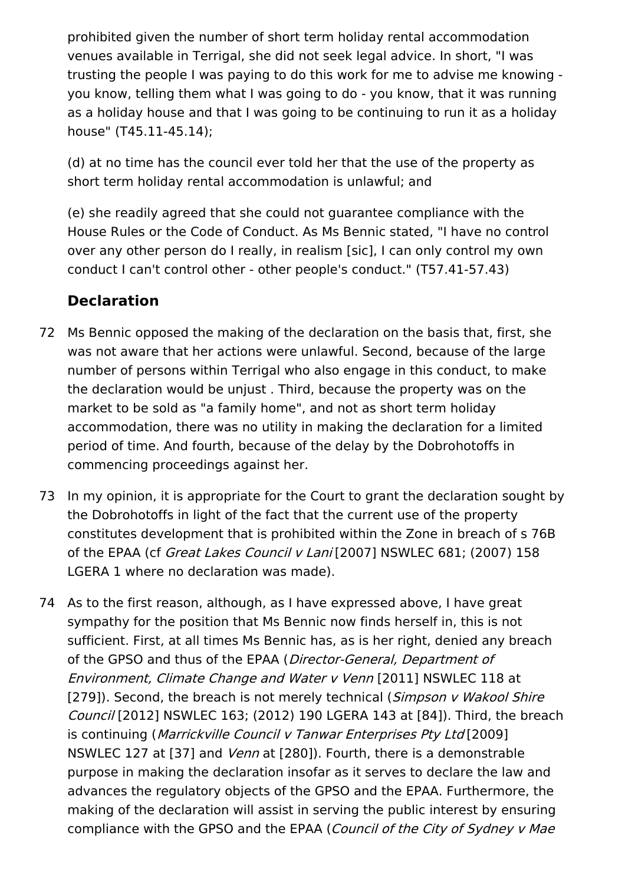prohibited given the number of short term holiday rental accommodation venues available in Terrigal, she did not seek legal advice. In short, "I was trusting the people I was paying to do this work for me to advise me knowing you know, telling them what I was going to do - you know, that it was running as a holiday house and that I was going to be continuing to run it as a holiday house" (T45.11-45.14);

(d) at no time has the council ever told her that the use of the property as short term holiday rental accommodation is unlawful; and

(e) she readily agreed that she could not guarantee compliance with the House Rules or the Code of Conduct. As Ms Bennic stated, "I have no control over any other person do I really, in realism [sic], I can only control my own conduct I can't control other - other people's conduct." (T57.41-57.43)

### **Declaration**

- 72 Ms Bennic opposed the making of the declaration on the basis that, first, she was not aware that her actions were unlawful. Second, because of the large number of persons within Terrigal who also engage in this conduct, to make the declaration would be unjust . Third, because the property was on the market to be sold as "a family home", and not as short term holiday accommodation, there was no utility in making the declaration for a limited period of time. And fourth, because of the delay by the Dobrohotoffs in commencing proceedings against her.
- 73 In my opinion, it is appropriate for the Court to grant the declaration sought by the Dobrohotoffs in light of the fact that the current use of the property constitutes development that is prohibited within the Zone in breach of s 76B of the EPAA (cf Great Lakes Council v Lani [2007] NSWLEC 681; (2007) 158 LGERA 1 where no declaration was made).
- 74 As to the first reason, although, as I have expressed above, I have great sympathy for the position that Ms Bennic now finds herself in, this is not sufficient. First, at all times Ms Bennic has, as is her right, denied any breach of the GPSO and thus of the EPAA (Director-General, Department of Environment, Climate Change and Water <sup>v</sup> Venn [2011] NSWLEC 118 at [279]). Second, the breach is not merely technical (Simpson v Wakool Shire Council [2012] NSWLEC 163; (2012) 190 LGERA 143 at [84]). Third, the breach is continuing (Marrickville Council v Tanwar Enterprises Pty Ltd [2009] NSWLEC 127 at [37] and *Venn* at [280]). Fourth, there is a demonstrable purpose in making the declaration insofar as it serves to declare the law and advances the regulatory objects of the GPSO and the EPAA. Furthermore, the making of the declaration will assist in serving the public interest by ensuring compliance with the GPSO and the EPAA (Council of the City of Sydney v Mae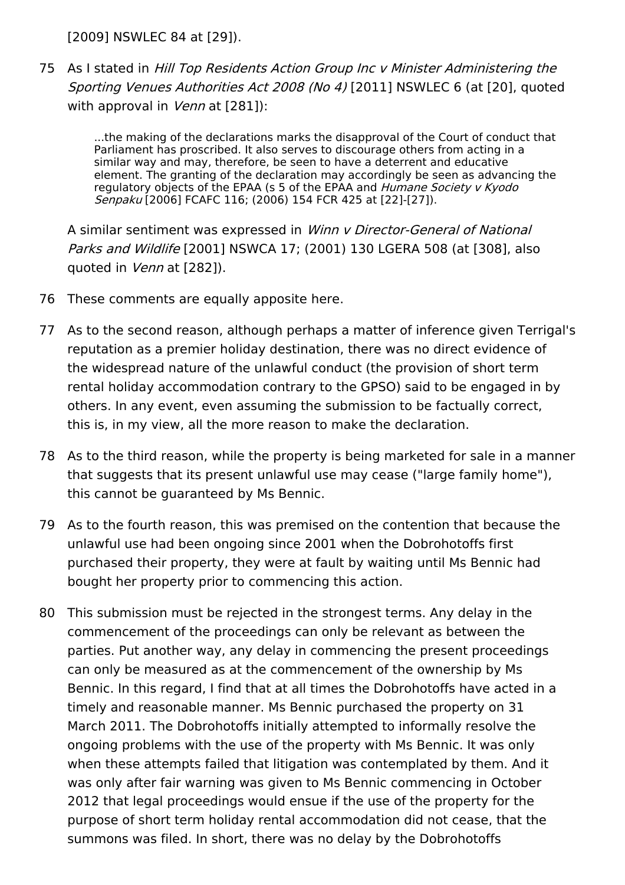[2009] NSWLEC 84 at [29]).

75 As I stated in Hill Top Residents Action Group Inc <sup>v</sup> Minister Administering the Sporting Venues Authorities Act 2008 (No 4) [2011] NSWLEC 6 (at [20], quoted with approval in *Venn* at [281]):

> ...the making of the declarations marks the disapproval of the Court of conduct that Parliament has proscribed. It also serves to discourage others from acting in a similar way and may, therefore, be seen to have a deterrent and educative element. The granting of the declaration may accordingly be seen as advancing the regulatory objects of the EPAA (s 5 of the EPAA and Humane Society v Kyodo Senpaku [2006] FCAFC 116; (2006) 154 FCR 425 at [22]-[27]).

A similar sentiment was expressed in Winn v Director-General of National Parks and Wildlife [2001] NSWCA 17; (2001) 130 LGERA 508 (at [308], also quoted in Venn at [282]).

- 76 These comments are equally apposite here.
- 77 As to the second reason, although perhaps a matter of inference given Terrigal's reputation as a premier holiday destination, there was no direct evidence of the widespread nature of the unlawful conduct (the provision of short term rental holiday accommodation contrary to the GPSO) said to be engaged in by others. In any event, even assuming the submission to be factually correct, this is, in my view, all the more reason to make the declaration.
- 78 As to the third reason, while the property is being marketed for sale in a manner that suggests that its present unlawful use may cease ("large family home"), this cannot be guaranteed by Ms Bennic.
- 79 As to the fourth reason, this was premised on the contention that because the unlawful use had been ongoing since 2001 when the Dobrohotoffs first purchased their property, they were at fault by waiting until Ms Bennic had bought her property prior to commencing this action.
- 80 This submission must be rejected in the strongest terms. Any delay in the commencement of the proceedings can only be relevant as between the parties. Put another way, any delay in commencing the present proceedings can only be measured as at the commencement of the ownership by Ms Bennic. In this regard, I find that at all times the Dobrohotoffs have acted in a timely and reasonable manner. Ms Bennic purchased the property on 31 March 2011. The Dobrohotoffs initially attempted to informally resolve the ongoing problems with the use of the property with Ms Bennic. It was only when these attempts failed that litigation was contemplated by them. And it was only after fair warning was given to Ms Bennic commencing in October 2012 that legal proceedings would ensue if the use of the property for the purpose of short term holiday rental accommodation did not cease, that the summons was filed. In short, there was no delay by the Dobrohotoffs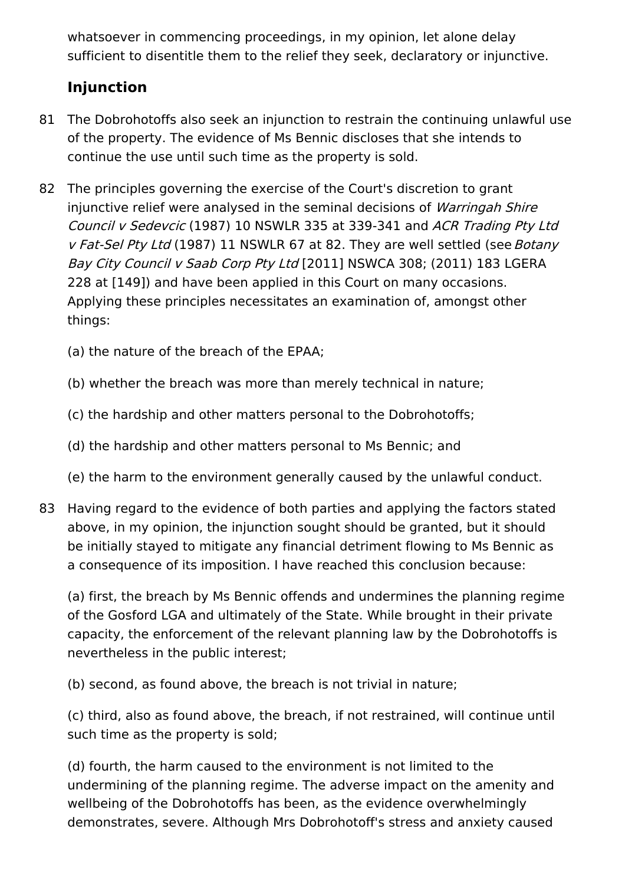whatsoever in commencing proceedings, in my opinion, let alone delay sufficient to disentitle them to the relief they seek, declaratory or injunctive.

## **Injunction**

- 81 The Dobrohotoffs also seek an injunction to restrain the continuing unlawful use of the property. The evidence of Ms Bennic discloses that she intends to continue the use until such time as the property is sold.
- 82 The principles governing the exercise of the Court's discretion to grant injunctive relief were analysed in the seminal decisions of Warringah Shire Council <sup>v</sup> Sedevcic (1987) 10 NSWLR 335 at 339-341 and ACR Trading Pty Ltd v Fat-Sel Pty Ltd (1987) 11 NSWLR 67 at 82. They are well settled (see Botany Bay City Council <sup>v</sup> Saab Corp Pty Ltd [2011] NSWCA 308; (2011) 183 LGERA 228 at [149]) and have been applied in this Court on many occasions. Applying these principles necessitates an examination of, amongst other things:
	- (a) the nature of the breach of the EPAA;
	- (b) whether the breach was more than merely technical in nature;
	- (c) the hardship and other matters personal to the Dobrohotoffs;
	- (d) the hardship and other matters personal to Ms Bennic; and
	- (e) the harm to the environment generally caused by the unlawful conduct.
- 83 Having regard to the evidence of both parties and applying the factors stated above, in my opinion, the injunction sought should be granted, but it should be initially stayed to mitigate any financial detriment flowing to Ms Bennic as a consequence of its imposition. I have reached this conclusion because:

(a) first, the breach by Ms Bennic offends and undermines the planning regime of the Gosford LGA and ultimately of the State. While brought in their private capacity, the enforcement of the relevant planning law by the Dobrohotoffs is nevertheless in the public interest;

(b) second, as found above, the breach is not trivial in nature;

(c) third, also as found above, the breach, if not restrained, will continue until such time as the property is sold;

(d) fourth, the harm caused to the environment is not limited to the undermining of the planning regime. The adverse impact on the amenity and wellbeing of the Dobrohotoffs has been, as the evidence overwhelmingly demonstrates, severe. Although Mrs Dobrohotoff's stress and anxiety caused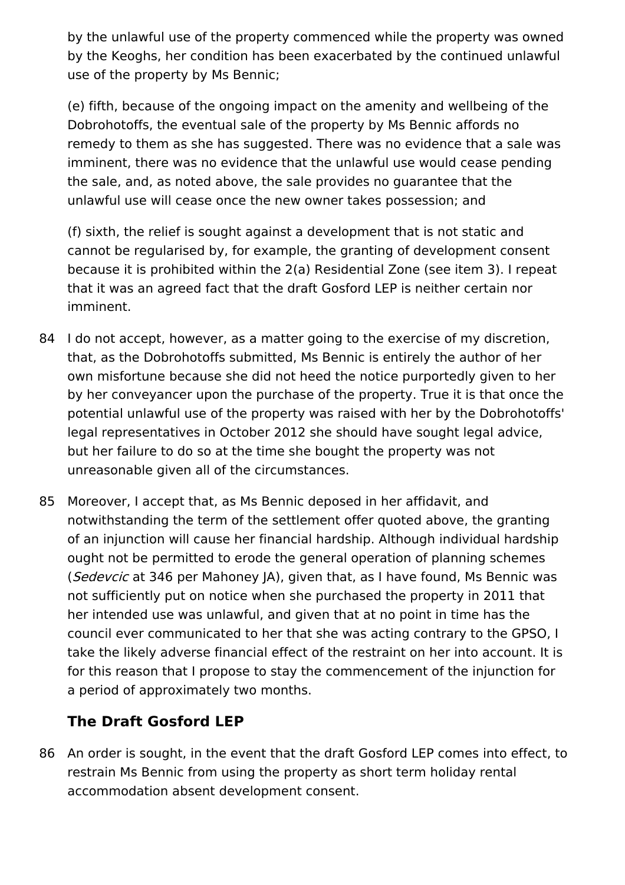by the unlawful use of the property commenced while the property was owned by the Keoghs, her condition has been exacerbated by the continued unlawful use of the property by Ms Bennic;

(e) fifth, because of the ongoing impact on the amenity and wellbeing of the Dobrohotoffs, the eventual sale of the property by Ms Bennic affords no remedy to them as she has suggested. There was no evidence that a sale was imminent, there was no evidence that the unlawful use would cease pending the sale, and, as noted above, the sale provides no guarantee that the unlawful use will cease once the new owner takes possession; and

(f) sixth, the relief is sought against a development that is not static and cannot be regularised by, for example, the granting of development consent because it is prohibited within the 2(a) Residential Zone (see item 3). I repeat that it was an agreed fact that the draft Gosford LEP is neither certain nor imminent.

- 84 I do not accept, however, as a matter going to the exercise of my discretion, that, as the Dobrohotoffs submitted, Ms Bennic is entirely the author of her own misfortune because she did not heed the notice purportedly given to her by her conveyancer upon the purchase of the property. True it is that once the potential unlawful use of the property was raised with her by the Dobrohotoffs' legal representatives in October 2012 she should have sought legal advice, but her failure to do so at the time she bought the property was not unreasonable given all of the circumstances.
- 85 Moreover, I accept that, as Ms Bennic deposed in her affidavit, and notwithstanding the term of the settlement offer quoted above, the granting of an injunction will cause her financial hardship. Although individual hardship ought not be permitted to erode the general operation of planning schemes (Sedevcic at 346 per Mahoney JA), given that, as I have found, Ms Bennic was not sufficiently put on notice when she purchased the property in 2011 that her intended use was unlawful, and given that at no point in time has the council ever communicated to her that she was acting contrary to the GPSO, I take the likely adverse financial effect of the restraint on her into account. It is for this reason that I propose to stay the commencement of the injunction for a period of approximately two months.

## **The Draft Gosford LEP**

86 An order is sought, in the event that the draft Gosford LEP comes into effect, to restrain Ms Bennic from using the property as short term holiday rental accommodation absent development consent.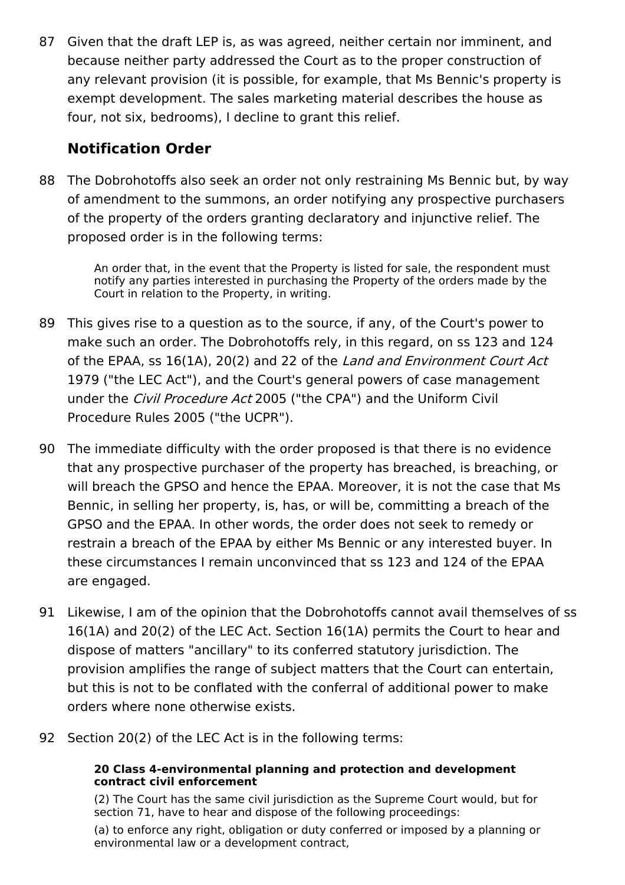87 Given that the draft LEP is, as was agreed, neither certain nor imminent, and because neither party addressed the Court as to the proper construction of any relevant provision (it is possible, for example, that Ms Bennic's property is exempt development. The sales marketing material describes the house as four, not six, bedrooms), I decline to grant this relief.

### **Notification Order**

88 The Dobrohotoffs also seek an order not only restraining Ms Bennic but, by way of amendment to the summons, an order notifying any prospective purchasers of the property of the orders granting declaratory and injunctive relief. The proposed order is in the following terms:

> An order that, in the event that the Property is listed for sale, the respondent must notify any parties interested in purchasing the Property of the orders made by the Court in relation to the Property, in writing.

- 89 This gives rise to a question as to the source, if any, of the Court's power to make such an order. The Dobrohotoffs rely, in this regard, on ss 123 and 124 of the EPAA, ss 16(1A), 20(2) and 22 of the Land and Environment Court Act 1979 ("the LEC Act"), and the Court's general powers of case management under the *Civil Procedure Act* 2005 ("the CPA") and the Uniform Civil Procedure Rules 2005 ("the UCPR").
- 90 The immediate difficulty with the order proposed is that there is no evidence that any prospective purchaser of the property has breached, is breaching, or will breach the GPSO and hence the EPAA. Moreover, it is not the case that Ms Bennic, in selling her property, is, has, or will be, committing a breach of the GPSO and the EPAA. In other words, the order does not seek to remedy or restrain a breach of the EPAA by either Ms Bennic or any interested buyer. In these circumstances I remain unconvinced that ss 123 and 124 of the EPAA are engaged.
- 91 Likewise, I am of the opinion that the Dobrohotoffs cannot avail themselves of ss 16(1A) and 20(2) of the LEC Act. Section 16(1A) permits the Court to hear and dispose of matters "ancillary" to its conferred statutory jurisdiction. The provision amplifies the range of subject matters that the Court can entertain, but this is not to be conflated with the conferral of additional power to make orders where none otherwise exists.
- 92 Section 20(2) of the LEC Act is in the following terms:

#### **20 Class 4-environmental planning and protection and development contract civil enforcement**

(2) The Court has the same civil jurisdiction as the Supreme Court would, but for section 71, have to hear and dispose of the following proceedings:

(a) to enforce any right, obligation or duty conferred or imposed by a planning or environmental law or a development contract,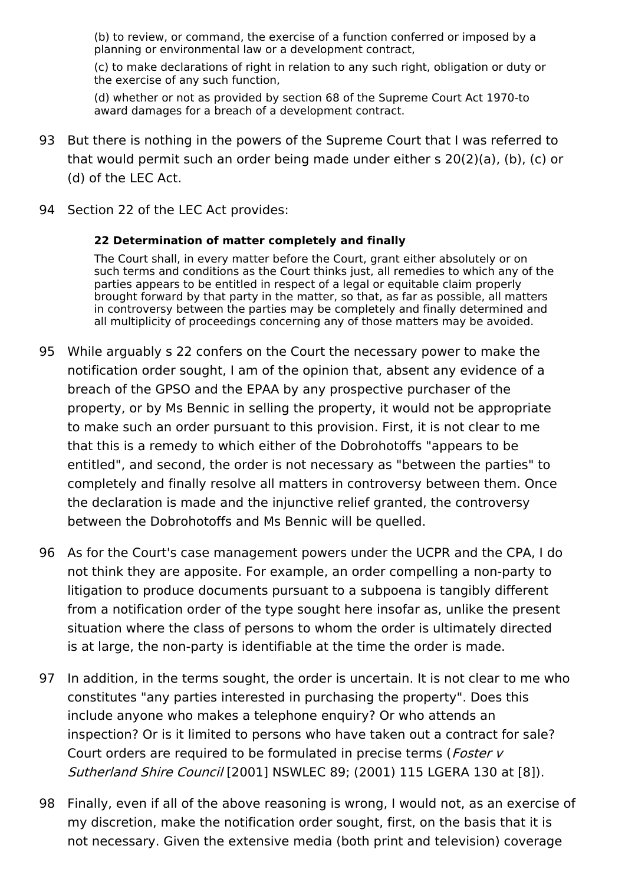(b) to review, or command, the exercise of a function conferred or imposed by a planning or environmental law or a development contract,

(c) to make declarations of right in relation to any such right, obligation or duty or the exercise of any such function,

(d) whether or not as provided by section 68 of the Supreme Court Act 1970-to award damages for a breach of a development contract.

- 93 But there is nothing in the powers of the Supreme Court that I was referred to that would permit such an order being made under either s 20(2)(a), (b), (c) or (d) of the LEC Act.
- 94 Section 22 of the LEC Act provides:

#### **22 Determination of matter completely and finally**

The Court shall, in every matter before the Court, grant either absolutely or on such terms and conditions as the Court thinks just, all remedies to which any of the parties appears to be entitled in respect of a legal or equitable claim properly brought forward by that party in the matter, so that, as far as possible, all matters in controversy between the parties may be completely and finally determined and all multiplicity of proceedings concerning any of those matters may be avoided.

- 95 While arguably s 22 confers on the Court the necessary power to make the notification order sought, I am of the opinion that, absent any evidence of a breach of the GPSO and the EPAA by any prospective purchaser of the property, or by Ms Bennic in selling the property, it would not be appropriate to make such an order pursuant to this provision. First, it is not clear to me that this is a remedy to which either of the Dobrohotoffs "appears to be entitled", and second, the order is not necessary as "between the parties" to completely and finally resolve all matters in controversy between them. Once the declaration is made and the injunctive relief granted, the controversy between the Dobrohotoffs and Ms Bennic will be quelled.
- 96 As for the Court's case management powers under the UCPR and the CPA, I do not think they are apposite. For example, an order compelling a non-party to litigation to produce documents pursuant to a subpoena is tangibly different from a notification order of the type sought here insofar as, unlike the present situation where the class of persons to whom the order is ultimately directed is at large, the non-party is identifiable at the time the order is made.
- 97 In addition, in the terms sought, the order is uncertain. It is not clear to me who constitutes "any parties interested in purchasing the property". Does this include anyone who makes a telephone enquiry? Or who attends an inspection? Or is it limited to persons who have taken out a contract for sale? Court orders are required to be formulated in precise terms (*Foster v* Sutherland Shire Council [2001] NSWLEC 89; (2001) 115 LGERA 130 at [8]).
- 98 Finally, even if all of the above reasoning is wrong, I would not, as an exercise of my discretion, make the notification order sought, first, on the basis that it is not necessary. Given the extensive media (both print and television) coverage